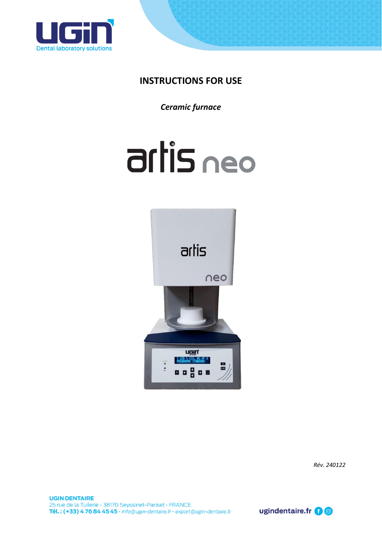

## **INSTRUCTIONS FOR USE**

*Ceramic furnace* 





*Rév. 240122*

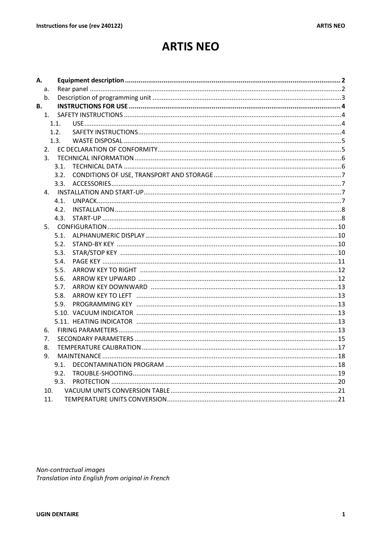# **ARTIS NEO**

| А.        |                |                  |  |  |  |
|-----------|----------------|------------------|--|--|--|
|           | a.             |                  |  |  |  |
|           | b.             |                  |  |  |  |
| <b>B.</b> |                |                  |  |  |  |
|           | 1 <sup>1</sup> |                  |  |  |  |
|           |                | 1.1.             |  |  |  |
|           |                | 1.2.             |  |  |  |
|           |                | 1.3.             |  |  |  |
|           |                |                  |  |  |  |
|           | 3.             |                  |  |  |  |
|           |                | 3.1.             |  |  |  |
|           |                | 3.2.             |  |  |  |
|           |                | 3.3.             |  |  |  |
|           |                |                  |  |  |  |
|           |                | 4.1.             |  |  |  |
|           |                | 4.2 <sub>1</sub> |  |  |  |
|           |                | 4.3.             |  |  |  |
|           |                |                  |  |  |  |
|           |                | 5.1.             |  |  |  |
|           |                | 5.2.             |  |  |  |
|           |                | 5.3.             |  |  |  |
|           |                | 5.4.             |  |  |  |
|           |                | 5.5.             |  |  |  |
|           |                | 5.6.             |  |  |  |
|           |                | 5.7.             |  |  |  |
|           |                | 5.8.             |  |  |  |
|           |                | 5.9.             |  |  |  |
|           |                |                  |  |  |  |
|           |                |                  |  |  |  |
|           | 6.             |                  |  |  |  |
|           | 7.             |                  |  |  |  |
|           | 8.             |                  |  |  |  |
|           | 9.             |                  |  |  |  |
|           |                | 9.1.             |  |  |  |
|           |                | 9.2.             |  |  |  |
|           |                |                  |  |  |  |
|           | 10.            |                  |  |  |  |
|           | 11.            |                  |  |  |  |

Non-contractual images Translation into English from original in French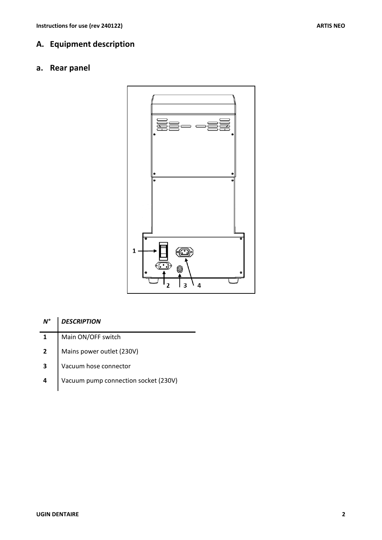### <span id="page-2-0"></span>**A. Equipment description**

### <span id="page-2-1"></span>**a. Rear panel**



# *N° DESCRIPTION* **1** Main ON/OFF switch **2** Mains power outlet (230V) **3** Vacuum hose connector

**4** Vacuum pump connection socket (230V)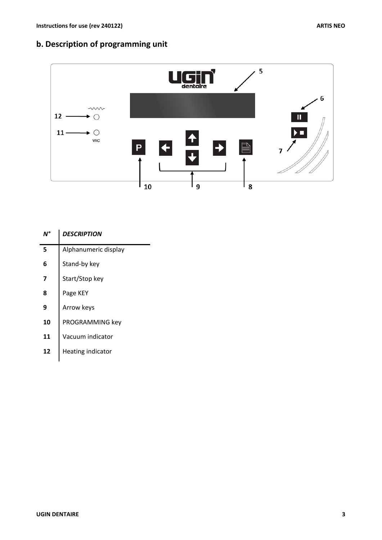# <span id="page-3-0"></span>**b. Description of programming unit**



| N° | <b>DESCRIPTION</b>   |
|----|----------------------|
| 5  | Alphanumeric display |
| 6  | Stand-by key         |
| 7  | Start/Stop key       |
| 8  | Page KEY             |
| 9  | Arrow keys           |
| 10 | PROGRAMMING key      |
| 11 | Vacuum indicator     |
| 12 | Heating indicator    |
|    |                      |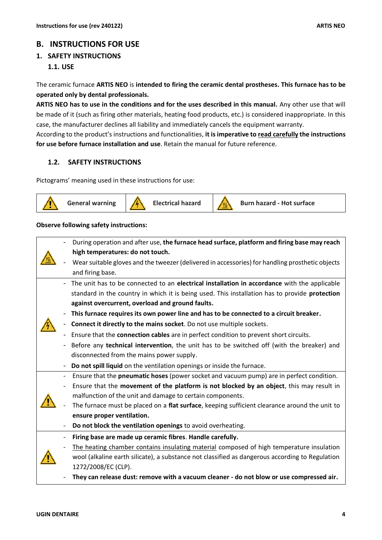#### <span id="page-4-0"></span>**B. INSTRUCTIONS FOR USE**

#### <span id="page-4-2"></span><span id="page-4-1"></span>**1. SAFETY INSTRUCTIONS**

#### **1.1. USE**

The ceramic furnace **ARTIS NEO** is **intended to firing the ceramic dental prostheses. This furnace has to be operated only by dental professionals.**

**ARTIS NEO has to use in the conditions and for the uses described in this manual.** Any other use that will be made of it (such as firing other materials, heating food products, etc.) is considered inappropriate. In this case, the manufacturer declines all liability and immediately cancels the equipment warranty.

According to the product's instructions and functionalities, **it is imperative to read carefully the instructions for use before furnace installation and use**. Retain the manual for future reference.

#### <span id="page-4-3"></span>**1.2. SAFETY INSTRUCTIONS**

Pictograms' meaning used in these instructions for use:



#### **Observe following safety instructions:**

|                          | During operation and after use, the furnace head surface, platform and firing base may reach    |
|--------------------------|-------------------------------------------------------------------------------------------------|
|                          | high temperatures: do not touch.                                                                |
|                          | Wear suitable gloves and the tweezer (delivered in accessories) for handling prosthetic objects |
|                          | and firing base.                                                                                |
|                          | The unit has to be connected to an electrical installation in accordance with the applicable    |
|                          | standard in the country in which it is being used. This installation has to provide protection  |
|                          | against overcurrent, overload and ground faults.                                                |
|                          | This furnace requires its own power line and has to be connected to a circuit breaker.          |
|                          | Connect it directly to the mains socket. Do not use multiple sockets.                           |
|                          | Ensure that the connection cables are in perfect condition to prevent short circuits.           |
|                          | Before any technical intervention, the unit has to be switched off (with the breaker) and       |
|                          | disconnected from the mains power supply.                                                       |
| $\overline{\phantom{a}}$ | Do not spill liquid on the ventilation openings or inside the furnace.                          |
|                          | Ensure that the pneumatic hoses (power socket and vacuum pump) are in perfect condition.        |
|                          | Ensure that the movement of the platform is not blocked by an object, this may result in        |
|                          | malfunction of the unit and damage to certain components.                                       |
|                          | The furnace must be placed on a flat surface, keeping sufficient clearance around the unit to   |
|                          | ensure proper ventilation.                                                                      |
|                          | Do not block the ventilation openings to avoid overheating.                                     |
|                          | Firing base are made up ceramic fibres. Handle carefully.                                       |
|                          | The heating chamber contains insulating material composed of high temperature insulation        |
|                          | wool (alkaline earth silicate), a substance not classified as dangerous according to Regulation |
|                          | 1272/2008/EC (CLP).                                                                             |
|                          | They can release dust: remove with a vacuum cleaner - do not blow or use compressed air.        |
|                          |                                                                                                 |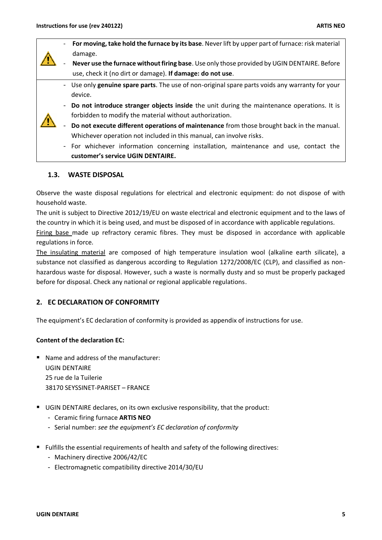- **For moving, take hold the furnace by its base**. Never lift by upper part of furnace: risk material damage.
- **Never use the furnace without firing base**. Use only those provided by UGIN DENTAIRE. Before use, check it (no dirt or damage). **If damage: do not use**.
- Use only **genuine spare parts**. The use of non-original spare parts voids any warranty for your device.
- **Do not introduce stranger objects inside** the unit during the maintenance operations. It is forbidden to modify the material without authorization.
- **Do not execute different operations of maintenance** from those brought back in the manual. Whichever operation not included in this manual, can involve risks.
- For whichever information concerning installation, maintenance and use, contact the **customer's service UGIN DENTAIRE.**

#### <span id="page-5-0"></span>**1.3. WASTE DISPOSAL**

Observe the waste disposal regulations for electrical and electronic equipment: do not dispose of with household waste.

The unit is subject to Directive 2012/19/EU on waste electrical and electronic equipment and to the laws of the country in which it is being used, and must be disposed of in accordance with applicable regulations.

Firing base made up refractory ceramic fibres. They must be disposed in accordance with applicable regulations in force.

The insulating material are composed of high temperature insulation wool (alkaline earth silicate), a substance not classified as dangerous according to Regulation 1272/2008/EC (CLP), and classified as nonhazardous waste for disposal. However, such a waste is normally dusty and so must be properly packaged before for disposal. Check any national or regional applicable regulations.

#### <span id="page-5-1"></span>**2. EC DECLARATION OF CONFORMITY**

The equipment's EC declaration of conformity is provided as appendix of instructions for use.

#### **Content of the declaration EC:**

- Name and address of the manufacturer: UGIN DENTAIRE 25 rue de la Tuilerie 38170 SEYSSINET-PARISET – FRANCE
- UGIN DENTAIRE declares, on its own exclusive responsibility, that the product:
	- Ceramic firing furnace **ARTIS NEO**
	- Serial number: *see the equipment's EC declaration of conformity*
- Fulfills the essential requirements of health and safety of the following directives:
	- Machinery directive 2006/42/EC
	- Electromagnetic compatibility directive 2014/30/EU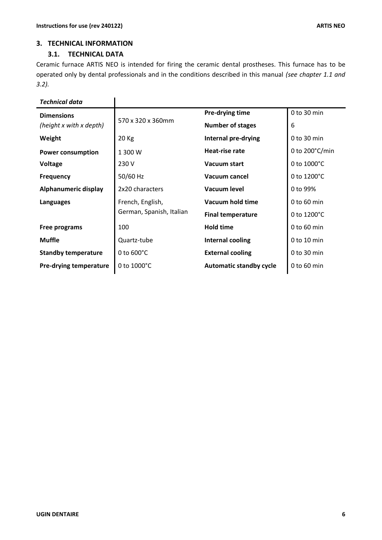#### <span id="page-6-1"></span><span id="page-6-0"></span>**3. TECHNICAL INFORMATION**

#### **3.1. TECHNICAL DATA**

Ceramic furnace ARTIS NEO is intended for firing the ceramic dental prostheses. This furnace has to be operated only by dental professionals and in the conditions described in this manual *(see chapter 1.1 and 3.2).*

| <b>Technical data</b>      |                          |                                |                          |
|----------------------------|--------------------------|--------------------------------|--------------------------|
| <b>Dimensions</b>          | 570 x 320 x 360mm        | Pre-drying time                | 0 to 30 min              |
| (height x with x depth)    |                          | <b>Number of stages</b>        | 6                        |
| Weight                     | 20 Kg                    | Internal pre-drying            | $0$ to 30 min            |
| <b>Power consumption</b>   | 1 300 W                  | Heat-rise rate                 | 0 to $200^{\circ}$ C/min |
| Voltage                    | 230 V                    | Vacuum start                   | 0 to $1000^{\circ}$ C    |
| <b>Frequency</b>           | 50/60 Hz                 | Vacuum cancel                  | 0 to $1200^{\circ}$ C    |
| Alphanumeric display       | 2x20 characters          | <b>Vacuum level</b>            | 0 to 99%                 |
| Languages                  | French, English,         | Vacuum hold time               | 0 to 60 min              |
|                            | German, Spanish, Italian | <b>Final temperature</b>       | 0 to 1200°C              |
| <b>Free programs</b>       | 100                      | <b>Hold time</b>               | 0 to 60 min              |
| <b>Muffle</b>              | Quartz-tube              | Internal cooling               | $0$ to 10 min            |
| <b>Standby temperature</b> | 0 to $600^{\circ}$ C     | <b>External cooling</b>        | 0 to 30 min              |
| Pre-drying temperature     | 0 to 1000°C              | <b>Automatic standby cycle</b> | 0 to 60 min              |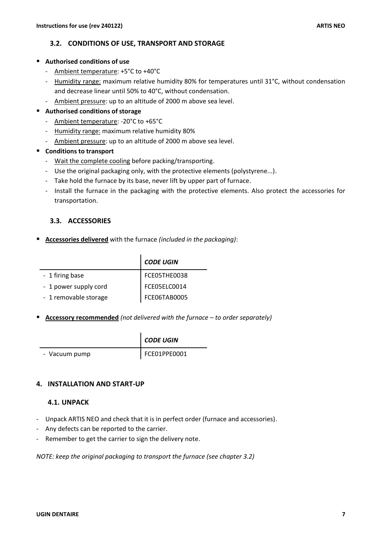#### <span id="page-7-0"></span>**3.2. CONDITIONS OF USE, TRANSPORT AND STORAGE**

- **Authorised conditions of use**
	- Ambient temperature: +5°C to +40°C
	- Humidity range: maximum relative humidity 80% for temperatures until 31°C, without condensation and decrease linear until 50% to 40°C, without condensation.
	- Ambient pressure: up to an altitude of 2000 m above sea level.

#### ▪ **Authorised conditions of storage**

- Ambient temperature: -20°C to +65°C
- Humidity range: maximum relative humidity 80%
- Ambient pressure: up to an altitude of 2000 m above sea level.

#### ■ **Conditions to transport**

- Wait the complete cooling before packing/transporting.
- Use the original packaging only, with the protective elements (polystyrene...).
- Take hold the furnace by its base, never lift by upper part of furnace.
- Install the furnace in the packaging with the protective elements. Also protect the accessories for transportation.

#### <span id="page-7-1"></span>**3.3. ACCESSORIES**

▪ **Accessories delivered** with the furnace *(included in the packaging)*:

|                       | <b>CODE UGIN</b> |
|-----------------------|------------------|
| - 1 firing base       | FCE05THE0038     |
| - 1 power supply cord | FCE05ELC0014     |
| - 1 removable storage | FCE06TAB0005     |

■ **Accessory recommended** (not delivered with the furnace – to order separately)

|               | <b>LCODE UGIN</b> |
|---------------|-------------------|
| - Vacuum pump | FCE01PPE0001      |

#### <span id="page-7-2"></span>**4. INSTALLATION AND START-UP**

#### <span id="page-7-3"></span>**4.1. UNPACK**

- Unpack ARTIS NEO and check that it is in perfect order (furnace and accessories).
- Any defects can be reported to the carrier.
- Remember to get the carrier to sign the delivery note.

*NOTE: keep the original packaging to transport the furnace (see chapter 3.2)*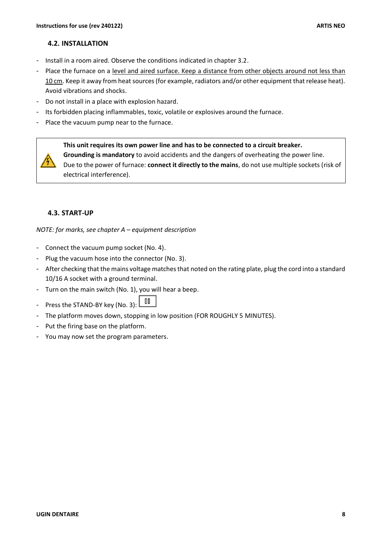#### <span id="page-8-0"></span>**4.2. INSTALLATION**

- Install in a room aired. Observe the conditions indicated in chapter 3.2.
- Place the furnace on a level and aired surface. Keep a distance from other objects around not less than 10 cm. Keep it away from heat sources (for example, radiators and/or other equipment that release heat). Avoid vibrations and shocks.
- Do not install in a place with explosion hazard.
- Its forbidden placing inflammables, toxic, volatile or explosives around the furnace.
- Place the vacuum pump near to the furnace.

**This unit requires its own power line and has to be connected to a circuit breaker.** 

**Grounding is mandatory** to avoid accidents and the dangers of overheating the power line.

Due to the power of furnace: **connect it directly to the mains**, do not use multiple sockets (risk of electrical interference).

#### <span id="page-8-1"></span>**4.3. START-UP**

*NOTE: for marks, see chapter A – equipment description*

- Connect the vacuum pump socket (No. 4).
- Plug the vacuum hose into the connector (No. 3).
- After checking that the mains voltage matches that noted on the rating plate, plug the cord into a standard 10/16 A socket with a ground terminal.
- Turn on the main switch (No. 1), you will hear a beep.
- 00 - Press the STAND-BY key (No. 3):
- The platform moves down, stopping in low position (FOR ROUGHLY 5 MINUTES).
- Put the firing base on the platform.
- You may now set the program parameters.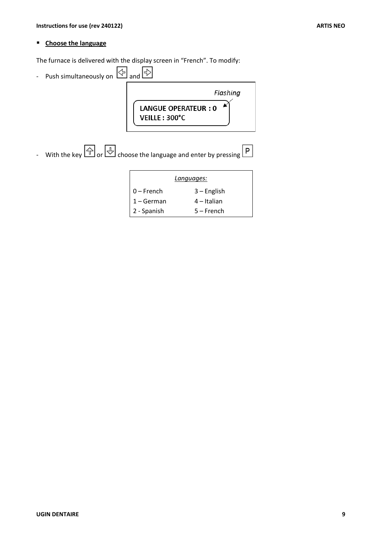#### ▪ **Choose the language**

The furnace is delivered with the display screen in "French". To modify:

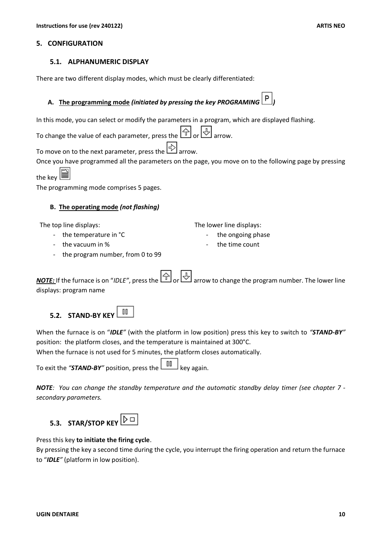#### <span id="page-10-0"></span>**5. CONFIGURATION**

#### <span id="page-10-1"></span>**5.1. ALPHANUMERIC DISPLAY**

There are two different display modes, which must be clearly differentiated:

#### **A. The programming mode** *(initiated by pressing the key PROGRAMING )*

In this mode, you can select or modify the parameters in a program, which are displayed flashing.

To change the value of each parameter, press the  $\boxed{\bigcirc}$  or  $\boxed{\bigcirc}$  arrow.

To move on to the next parameter, press the  $\bigcirc$  arrow.

Once you have programmed all the parameters on the page, you move on to the following page by pressing

the key

The programming mode comprises 5 pages.

#### **B. The operating mode** *(not flashing)*

The top line displays:

- the temperature in °C
- the vacuum in %
- The lower line displays: the ongoing phase
	- the time count
- the program number, from 0 to 99

*NOTE:* If the furnace is on "*IDLE"*, press the  $\bigcirc$  or  $\bigcirc$  arrow to change the program number. The lower line displays: program name

<span id="page-10-2"></span>

When the furnace is on "*IDLE"* (with the platform in low position) press this key to switch to *"STAND-BY"* position: the platform closes, and the temperature is maintained at 300°C.

When the furnace is not used for 5 minutes, the platform closes automatically.

To exit the "*STAND-BY*" position, press the **III** key again.

*NOTE: You can change the standby temperature and the automatic standby delay timer (see chapter 7 secondary parameters.*

# <span id="page-10-3"></span>**5.3. STAR/STOP KEY**

Press this key **to initiate the firing cycle**.

By pressing the key a second time during the cycle, you interrupt the firing operation and return the furnace to "*IDLE"* (platform in low position).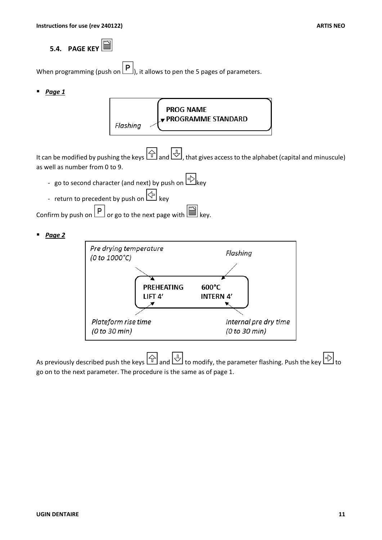<span id="page-11-0"></span>**5.4. PAGE KEY** 

When programming (push on  $\boxed{\mathbf{P}}$ ), it allows to pen the 5 pages of parameters.

▪ *Page 1*



It can be modified by pushing the keys  $\bigoplus$  and  $\bigoplus$ , that gives access to the alphabet (capital and minuscule) as well as number from 0 to 9.

- go to second character (and next) by push on  $\Rightarrow$
- return to precedent by push on  $\mathbb{S}$  key

Confirm by push on  $\boxed{\mathsf{P}}$  or go to the next page with  $\boxed{\blacksquare}$  key.

▪ *Page 2*



As previously described push the keys  $\Box$  and  $\Box$  to modify, the parameter flashing. Push the key  $\Box$  to go on to the next parameter. The procedure is the same as of page 1.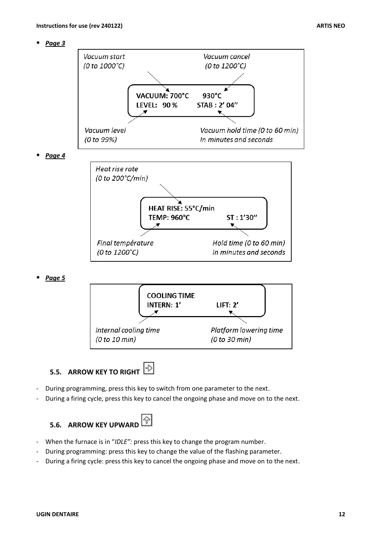

<span id="page-12-0"></span>During a firing cycle, press this key to cancel the ongoing phase and move on to the next.

```
5.6. ARROW KEY UPWARD
```
- When the furnace is in "*IDLE":* press this key to change the program number.
- During programming: press this key to change the value of the flashing parameter.
- During a firing cycle: press this key to cancel the ongoing phase and move on to the next.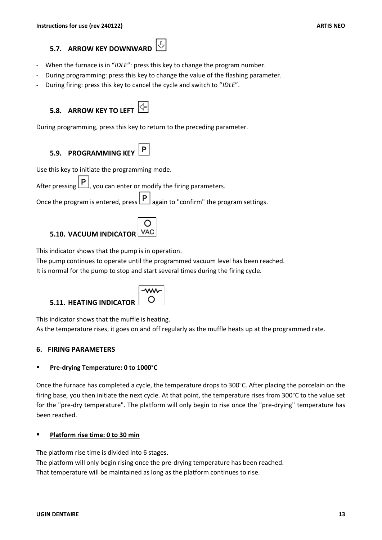# <span id="page-13-0"></span>**5.7. ARROW KEY DOWNWARD**

- When the furnace is in "*IDLE*": press this key to change the program number.
- During programming: press this key to change the value of the flashing parameter.
- During firing: press this key to cancel the cycle and switch to "*IDLE*".

# <span id="page-13-1"></span>**5.8. ARROW KEY TO LEFT**

During programming, press this key to return to the preceding parameter.

<span id="page-13-2"></span>

Use this key to initiate the programming mode.

After pressing  $\boxed{\text{P}}$ , you can enter or modify the firing parameters.

Once the program is entered, press  $\left[\mathbf{P}\right]$  again to "confirm" the program settings.

# <span id="page-13-3"></span>**5.10. VACUUM INDICATOR**

This indicator shows that the pump is in operation.

The pump continues to operate until the programmed vacuum level has been reached.

It is normal for the pump to stop and start several times during the firing cycle.

## <span id="page-13-4"></span>**5.11. HEATING INDICATOR**



This indicator shows that the muffle is heating.

As the temperature rises, it goes on and off regularly as the muffle heats up at the programmed rate.

#### <span id="page-13-5"></span>**6. FIRING PARAMETERS**

#### **Pre-drying Temperature: 0 to 1000°C**

Once the furnace has completed a cycle, the temperature drops to 300°C. After placing the porcelain on the firing base, you then initiate the next cycle. At that point, the temperature rises from 300°C to the value set for the "pre-dry temperature". The platform will only begin to rise once the "pre-drying" temperature has been reached.

#### **Platform rise time: 0 to 30 min**

The platform rise time is divided into 6 stages.

The platform will only begin rising once the pre-drying temperature has been reached. That temperature will be maintained as long as the platform continues to rise.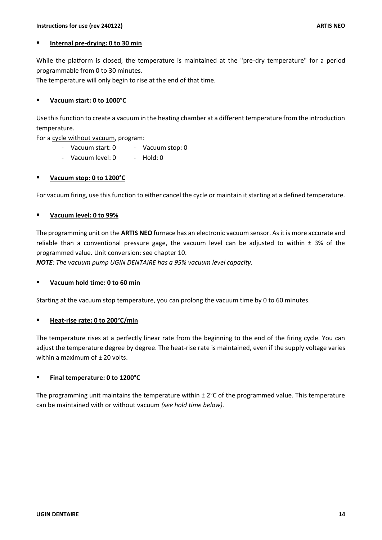#### Internal pre-drying: 0 to 30 min

While the platform is closed, the temperature is maintained at the "pre-dry temperature" for a period programmable from 0 to 30 minutes.

The temperature will only begin to rise at the end of that time.

#### ▪ **Vacuum start: 0 to 1000°C**

Use this function to create a vacuum in the heating chamber at a different temperature from the introduction temperature.

For a cycle without vacuum, program:

- Vacuum start: 0 Vacuum stop: 0
- Vacuum level: 0 - Hold: 0

#### Vacuum stop: 0 to 1200°C

For vacuum firing, use this function to either cancel the cycle or maintain it starting at a defined temperature.

#### ▪ **Vacuum level: 0 to 99%**

The programming unit on the **ARTIS NEO** furnace has an electronic vacuum sensor. As it is more accurate and reliable than a conventional pressure gage, the vacuum level can be adjusted to within  $\pm$  3% of the programmed value. Unit conversion: see chapter 10.

*NOTE: The vacuum pump UGIN DENTAIRE has a 95% vacuum level capacity.*

#### ▪ **Vacuum hold time: 0 to 60 min**

Starting at the vacuum stop temperature, you can prolong the vacuum time by 0 to 60 minutes.

#### ▪ **Heat-rise rate: 0 to 200°C/min**

The temperature rises at a perfectly linear rate from the beginning to the end of the firing cycle. You can adjust the temperature degree by degree. The heat-rise rate is maintained, even if the supply voltage varies within a maximum of  $\pm$  20 volts.

#### ▪ **Final temperature: 0 to 1200°C**

The programming unit maintains the temperature within  $\pm 2^{\circ}$ C of the programmed value. This temperature can be maintained with or without vacuum *(see hold time below).*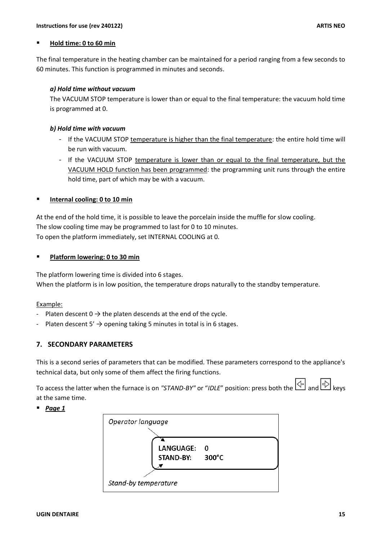#### **Hold time: 0 to 60 min**

The final temperature in the heating chamber can be maintained for a period ranging from a few seconds to 60 minutes. This function is programmed in minutes and seconds.

#### *a) Hold time without vacuum*

The VACUUM STOP temperature is lower than or equal to the final temperature: the vacuum hold time is programmed at 0.

#### *b) Hold time with vacuum*

- If the VACUUM STOP temperature is higher than the final temperature: the entire hold time will be run with vacuum.
- If the VACUUM STOP temperature is lower than or equal to the final temperature, but the VACUUM HOLD function has been programmed: the programming unit runs through the entire hold time, part of which may be with a vacuum.

#### **Internal cooling: 0 to 10 min**

At the end of the hold time, it is possible to leave the porcelain inside the muffle for slow cooling. The slow cooling time may be programmed to last for 0 to 10 minutes. To open the platform immediately, set INTERNAL COOLING at 0.

#### **Platform lowering: 0 to 30 min**

The platform lowering time is divided into 6 stages. When the platform is in low position, the temperature drops naturally to the standby temperature.

#### Example:

- Platen descent  $0 \rightarrow$  the platen descends at the end of the cycle.
- Platen descent  $5' \rightarrow$  opening taking 5 minutes in total is in 6 stages.

#### <span id="page-15-0"></span>**7. SECONDARY PARAMETERS**

This is a second series of parameters that can be modified. These parameters correspond to the appliance's technical data, but only some of them affect the firing functions.

To access the latter when the furnace is on "STAND-BY" or "IDLE" position: press both the  $\Box$  and  $\Box$  kevs at the same time.

#### ▪ *Page 1*

| Operator language    |                 |  |  |  |
|----------------------|-----------------|--|--|--|
|                      | LANGUAGE: 0     |  |  |  |
|                      | STAND-BY: 300°C |  |  |  |
| Stand-by temperature |                 |  |  |  |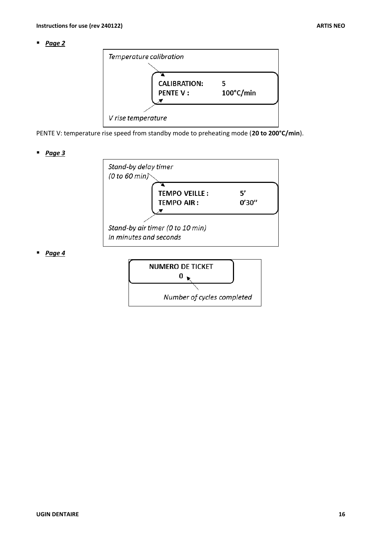#### ▪ *Page 2*



PENTE V: temperature rise speed from standby mode to preheating mode (**20 to 200°C/min**).

▪ *Page 3*



▪ *Page 4*

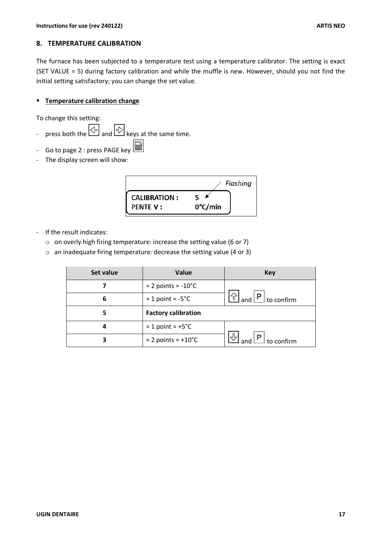#### <span id="page-17-0"></span>**8. TEMPERATURE CALIBRATION**

The furnace has been subjected to a temperature test using a temperature calibrator. The setting is exact (SET VALUE = 5) during factory calibration and while the muffle is new. However, should you not find the initial setting satisfactory; you can change the set value.

#### ▪ **Temperature calibration change**

To change this setting:

- press both the  $\bigcirc$  and  $\bigcirc$  keys at the same time.
- Go to page 2 : press PAGE key
- The display screen will show:



- If the result indicates:
	- o on overly high firing temperature: increase the setting value (6 or 7)
	- o an inadequate firing temperature: decrease the setting value (4 or 3)

| Set value | Value                           | <b>Key</b>                                            |
|-----------|---------------------------------|-------------------------------------------------------|
|           | $= 2$ points = -10 $^{\circ}$ C |                                                       |
| 6         | $= 1$ point = $-5^{\circ}$ C    | $\boxed{\triangle}$ and $\boxed{\text{P}}$ to confirm |
| 5         | <b>Factory calibration</b>      |                                                       |
|           | $= 1$ point = +5 $^{\circ}$ C   |                                                       |
|           | $= 2$ points $= +10^{\circ}C$   | ᆔ<br>and $\boxed{\mathsf{P}}$ to confirm              |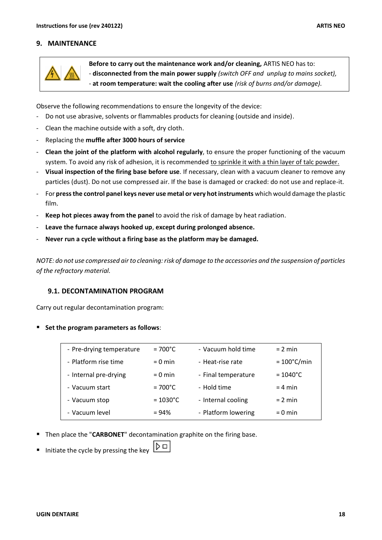#### <span id="page-18-0"></span>**9. MAINTENANCE**



**Before to carry out the maintenance work and/or cleaning,** ARTIS NEO has to: - **disconnected from the main power supply** *(switch OFF and unplug to mains socket),* - **at room temperature: wait the cooling after use** *(risk of burns and/or damage).*

Observe the following recommendations to ensure the longevity of the device:

- Do not use abrasive, solvents or flammables products for cleaning (outside and inside).
- Clean the machine outside with a soft, dry cloth.
- Replacing the **muffle after 3000 hours of service**
- **Clean the joint of the platform with alcohol regularly**, to ensure the proper functioning of the vacuum system. To avoid any risk of adhesion, it is recommended to sprinkle it with a thin layer of talc powder.
- **Visual inspection of the firing base before use**. If necessary, clean with a vacuum cleaner to remove any particles (dust). Do not use compressed air. If the base is damaged or cracked: do not use and replace-it.
- For **press the control panel keys never use metal or very hot instruments** which would damage the plastic film.
- **Keep hot pieces away from the panel** to avoid the risk of damage by heat radiation.
- **Leave the furnace always hooked up**, **except during prolonged absence.**
- **Never run a cycle without a firing base as the platform may be damaged.**

*NOTE: do not use compressed air to cleaning: risk of damage to the accessories and the suspension of particles of the refractory material.*

#### <span id="page-18-1"></span>**9.1. DECONTAMINATION PROGRAM**

Carry out regular decontamination program:

■ Set the program parameters as follows:

| - Pre-drying temperature | $= 700^{\circ}$ C | - Vacuum hold time  | $= 2$ min            |
|--------------------------|-------------------|---------------------|----------------------|
| - Platform rise time     | $= 0$ min         | - Heat-rise rate    | $=100^{\circ}$ C/min |
| - Internal pre-drying    | $= 0$ min         | - Final temperature | $= 1040^{\circ}$ C   |
| - Vacuum start           | $=700^{\circ}$ C  | - Hold time         | $= 4$ min            |
| - Vacuum stop            | $= 1030^{\circ}C$ | - Internal cooling  | $= 2$ min            |
| - Vacuum level           | $= 94%$           | - Platform lowering | $= 0$ min            |

- Then place the "**CARBONET**" decontamination graphite on the firing base.
- ▷□ ■ Initiate the cycle by pressing the key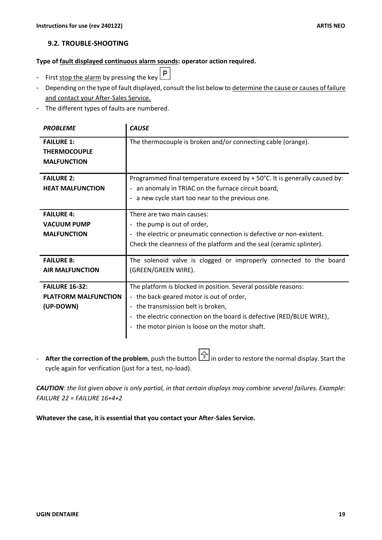#### <span id="page-19-0"></span>**9.2. TROUBLE-SHOOTING**

#### **Type of fault displayed continuous alarm sounds: operator action required.**

- P - First stop the alarm by pressing the key
- Depending on the type of fault displayed, consult the list below to determine the cause or causes of failure and contact your After-Sales Service.
- The different types of faults are numbered.

| <b>PROBLEME</b>                                                | <b>CAUSE</b>                                                              |
|----------------------------------------------------------------|---------------------------------------------------------------------------|
| <b>FAILURE 1:</b><br><b>THERMOCOUPLE</b><br><b>MALFUNCTION</b> | The thermocouple is broken and/or connecting cable (orange).              |
| <b>FAILURE 2:</b>                                              | Programmed final temperature exceed by + 50°C. It is generally caused by: |
| <b>HEAT MALFUNCTION</b>                                        | - an anomaly in TRIAC on the furnace circuit board,                       |
|                                                                | - a new cycle start too near to the previous one.                         |
| <b>FAILURE 4:</b>                                              | There are two main causes:                                                |
| <b>VACUUM PUMP</b>                                             | - the pump is out of order,                                               |
| <b>MALFUNCTION</b>                                             | - the electric or pneumatic connection is defective or non-existent.      |
|                                                                | Check the cleanness of the platform and the seal (ceramic splinter).      |
| <b>FAILURE 8:</b>                                              | The solenoid valve is clogged or improperly connected to the board        |
| <b>AIR MALFUNCTION</b>                                         | (GREEN/GREEN WIRE).                                                       |
| <b>FAILURE 16-32:</b>                                          | The platform is blocked in position. Several possible reasons:            |
| <b>PLATFORM MALFUNCTION</b>                                    | - the back-geared motor is out of order,                                  |
| (UP-DOWN)                                                      | - the transmission belt is broken,                                        |
|                                                                | - the electric connection on the board is defective (RED/BLUE WIRE),      |
|                                                                | - the motor pinion is loose on the motor shaft.                           |
|                                                                |                                                                           |

- **After the correction of the problem**, push the button **in** order to restore the normal display. Start the cycle again for verification (just for a test, no-load).

*CAUTION: the list given above is only partial, in that certain displays may combine several failures. Example: FAILURE 22 = FAILURE 16+4+2*

**Whatever the case, it is essential that you contact your After-Sales Service.**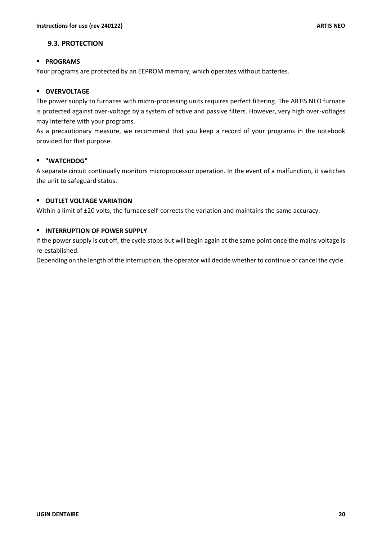#### <span id="page-20-0"></span>**9.3. PROTECTION**

#### ▪ **PROGRAMS**

Your programs are protected by an EEPROM memory, which operates without batteries.

#### ▪ **OVERVOLTAGE**

The power supply to furnaces with micro-processing units requires perfect filtering. The ARTIS NEO furnace is protected against over-voltage by a system of active and passive filters. However, very high over-voltages may interfere with your programs.

As a precautionary measure, we recommend that you keep a record of your programs in the notebook provided for that purpose.

#### ▪ **"WATCHDOG"**

A separate circuit continually monitors microprocessor operation. In the event of a malfunction, it switches the unit to safeguard status.

#### ▪ **OUTLET VOLTAGE VARIATION**

Within a limit of  $\pm 20$  volts, the furnace self-corrects the variation and maintains the same accuracy.

#### ▪ **INTERRUPTION OF POWER SUPPLY**

If the power supply is cut off, the cycle stops but will begin again at the same point once the mains voltage is re-established.

Depending on the length of the interruption, the operator will decide whether to continue or cancel the cycle.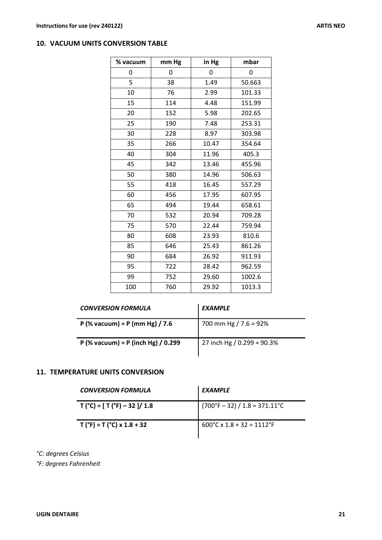#### <span id="page-21-0"></span>**10. VACUUM UNITS CONVERSION TABLE**

| % vacuum | mm Hg | in Hg | mbar   |
|----------|-------|-------|--------|
| 0        | 0     | 0     | 0      |
| 5        | 38    | 1.49  | 50.663 |
| 10       | 76    | 2.99  | 101.33 |
| 15       | 114   | 4.48  | 151.99 |
| 20       | 152   | 5.98  | 202.65 |
| 25       | 190   | 7.48  | 253.31 |
| 30       | 228   | 8.97  | 303.98 |
| 35       | 266   | 10.47 | 354.64 |
| 40       | 304   | 11.96 | 405.3  |
| 45       | 342   | 13.46 | 455.96 |
| 50       | 380   | 14.96 | 506.63 |
| 55       | 418   | 16.45 | 557.29 |
| 60       | 456   | 17.95 | 607.95 |
| 65       | 494   | 19.44 | 658.61 |
| 70       | 532   | 20.94 | 709.28 |
| 75       | 570   | 22.44 | 759.94 |
| 80       | 608   | 23.93 | 810.6  |
| 85       | 646   | 25.43 | 861.26 |
| 90       | 684   | 26.92 | 911.93 |
| 95       | 722   | 28.42 | 962.59 |
| 99       | 752   | 29.60 | 1002.6 |
| 100      | 760   | 29.92 | 1013.3 |

| <b>CONVERSION FORMULA</b>            | <b>EXAMPLE</b>             |
|--------------------------------------|----------------------------|
| $P$ (% vacuum) = P (mm Hg) / 7.6     | 700 mm Hg / 7.6 ≈ 92%      |
| $P$ (% vacuum) = P (inch Hg) / 0.299 | 27 inch Hg / 0.299 ≈ 90.3% |

#### <span id="page-21-1"></span>**11. TEMPERATURE UNITS CONVERSION**

| <b>CONVERSION FORMULA</b>                | <i><b>EXAMPLE</b></i>                          |
|------------------------------------------|------------------------------------------------|
| $T(^{\circ}C) = [T(^{\circ}F) - 32]/1.8$ | $(700^{\circ}F - 32) / 1.8 = 371.11^{\circ}C$  |
| $T$ (°F) = T (°C) x 1.8 + 32             | $600^{\circ}$ C x 1.8 + 32 = 1112 $^{\circ}$ F |

*°C: degrees Celsius*

*°F: degrees Fahrenheit*